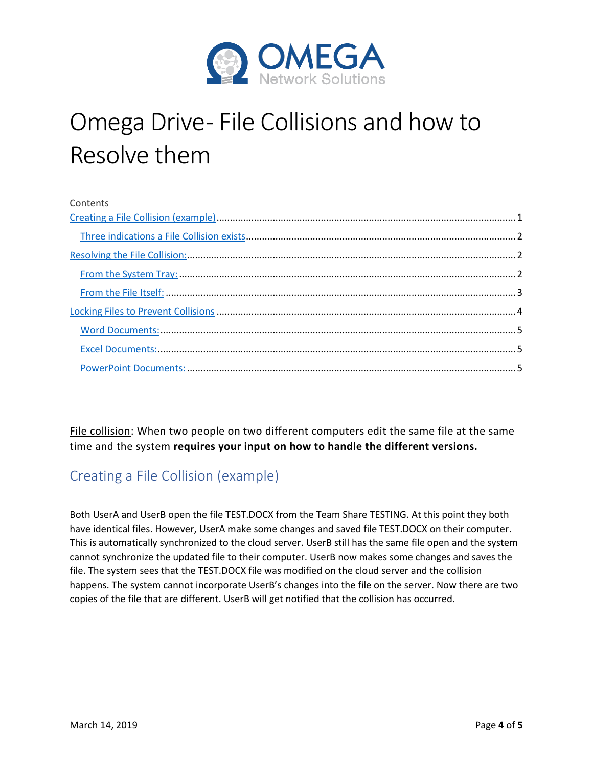

# Omega Drive- File Collisions and how to Resolve them

| Contents |  |
|----------|--|
|          |  |
|          |  |
|          |  |
|          |  |
|          |  |
|          |  |
|          |  |
|          |  |
|          |  |
|          |  |

File collision: When two people on two different computers edit the same file at the same time and the system **requires your input on how to handle the different versions.**

# <span id="page-0-0"></span>Creating a File Collision (example)

Both UserA and UserB open the file TEST.DOCX from the Team Share TESTING. At this point they both have identical files. However, UserA make some changes and saved file TEST.DOCX on their computer. This is automatically synchronized to the cloud server. UserB still has the same file open and the system cannot synchronize the updated file to their computer. UserB now makes some changes and saves the file. The system sees that the TEST.DOCX file was modified on the cloud server and the collision happens. The system cannot incorporate UserB's changes into the file on the server. Now there are two copies of the file that are different. UserB will get notified that the collision has occurred.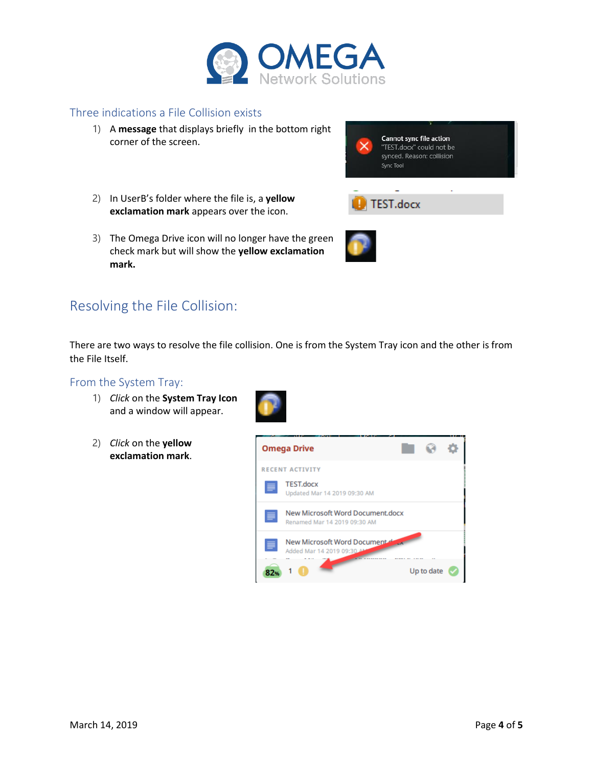

### <span id="page-1-0"></span>Three indications a File Collision exists

1) A **message** that displays briefly in the bottom right corner of the screen.



- 2) In UserB's folder where the file is, a **yellow exclamation mark** appears over the icon.
- 3) The Omega Drive icon will no longer have the green check mark but will show the **yellow exclamation mark.**



## <span id="page-1-1"></span>Resolving the File Collision:

There are two ways to resolve the file collision. One is from the System Tray icon and the other is from the File Itself.

#### <span id="page-1-2"></span>From the System Tray:

- 1) *Click* on the **System Tray Icon** and a window will appear.
- 2) *Click* on the **yellow exclamation mark**.

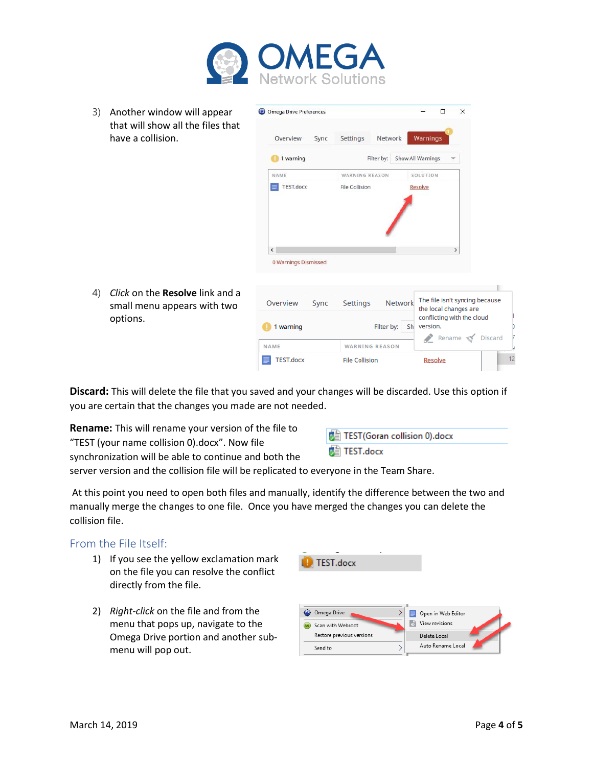

3) Another window will appear that will show all the files that have a collision.



4) *Click* on the **Resolve** link and a small menu appears with two options.

| Overview<br><b>Sync</b> | <b>Network</b><br><b>Settings</b> | The file isn't syncing because<br>the local changes are    |
|-------------------------|-----------------------------------|------------------------------------------------------------|
| 1 warning               | Filter by:<br>Sh                  | conflicting with the cloud<br>version.<br>Rename & Discard |
| <b>NAME</b>             | <b>WARNING REASON</b>             |                                                            |
| <b>TEST.docx</b>        | <b>File Collision</b>             | Resolve                                                    |

**Discard:** This will delete the file that you saved and your changes will be discarded. Use this option if you are certain that the changes you made are not needed.

**Rename:** This will rename your version of the file to "TEST (your name collision 0).docx". Now file

synchronization will be able to continue and both the

TEST(Goran collision 0).docx TEST.docx

server version and the collision file will be replicated to everyone in the Team Share.

At this point you need to open both files and manually, identify the difference between the two and manually merge the changes to one file. Once you have merged the changes you can delete the collision file.

## <span id="page-2-0"></span>From the File Itself:

- 1) If you see the yellow exclamation mark on the file you can resolve the conflict directly from the file.
- 2) *Right-click* on the file and from the menu that pops up, navigate to the Omega Drive portion and another submenu will pop out.

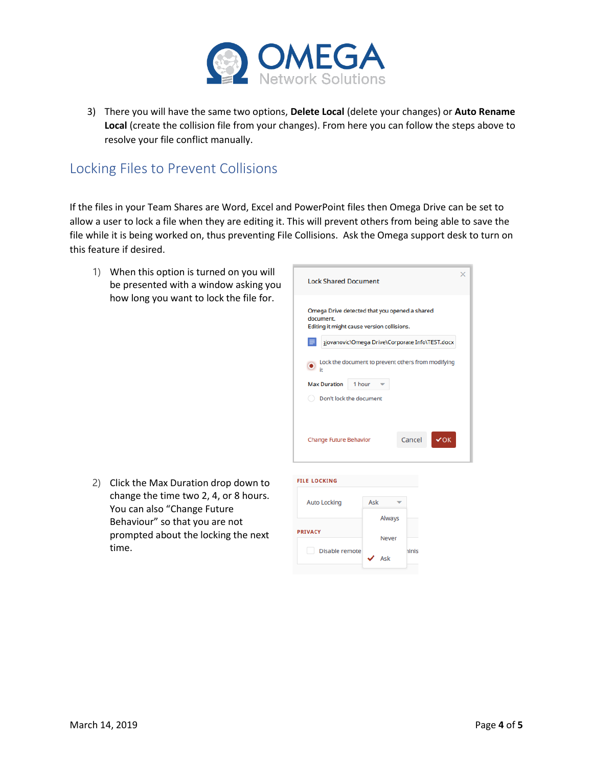

3) There you will have the same two options, **Delete Local** (delete your changes) or **Auto Rename Local** (create the collision file from your changes). From here you can follow the steps above to resolve your file conflict manually.

## <span id="page-3-0"></span>Locking Files to Prevent Collisions

If the files in your Team Shares are Word, Excel and PowerPoint files then Omega Drive can be set to allow a user to lock a file when they are editing it. This will prevent others from being able to save the file while it is being worked on, thus preventing File Collisions. Ask the Omega support desk to turn on this feature if desired.

1) When this option is turned on you will be presented with a window asking you how long you want to lock the file for.



2) Click the Max Duration drop down to change the time two 2, 4, or 8 hours. You can also "Change Future Behaviour" so that you are not prompted about the locking the next time.

| <b>Auto Locking</b> | Ask |        |              |
|---------------------|-----|--------|--------------|
|                     |     | Always |              |
| <b>PRIVACY</b>      |     | Never  |              |
| Disable remote      |     |        | <b>hinis</b> |